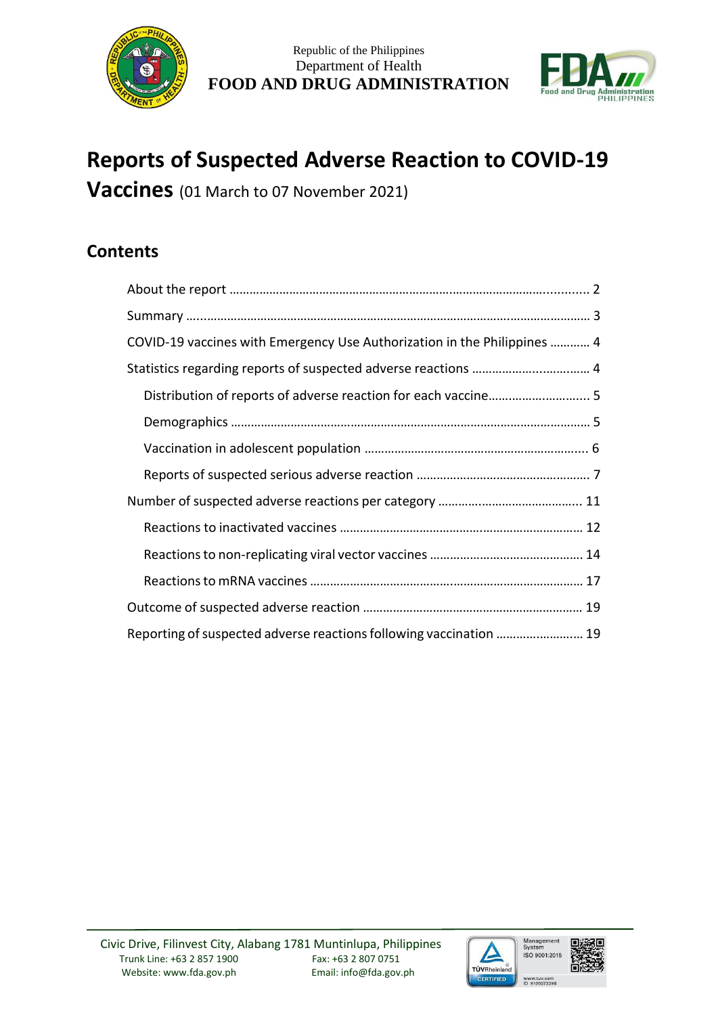



# **Reports of Suspected Adverse Reaction to COVID-19**

**Vaccines** (01 March to 07 November 2021)

# **Contents**

| COVID-19 vaccines with Emergency Use Authorization in the Philippines  4 |
|--------------------------------------------------------------------------|
|                                                                          |
|                                                                          |
|                                                                          |
|                                                                          |
|                                                                          |
|                                                                          |
|                                                                          |
|                                                                          |
|                                                                          |
|                                                                          |
| Reporting of suspected adverse reactions following vaccination  19       |

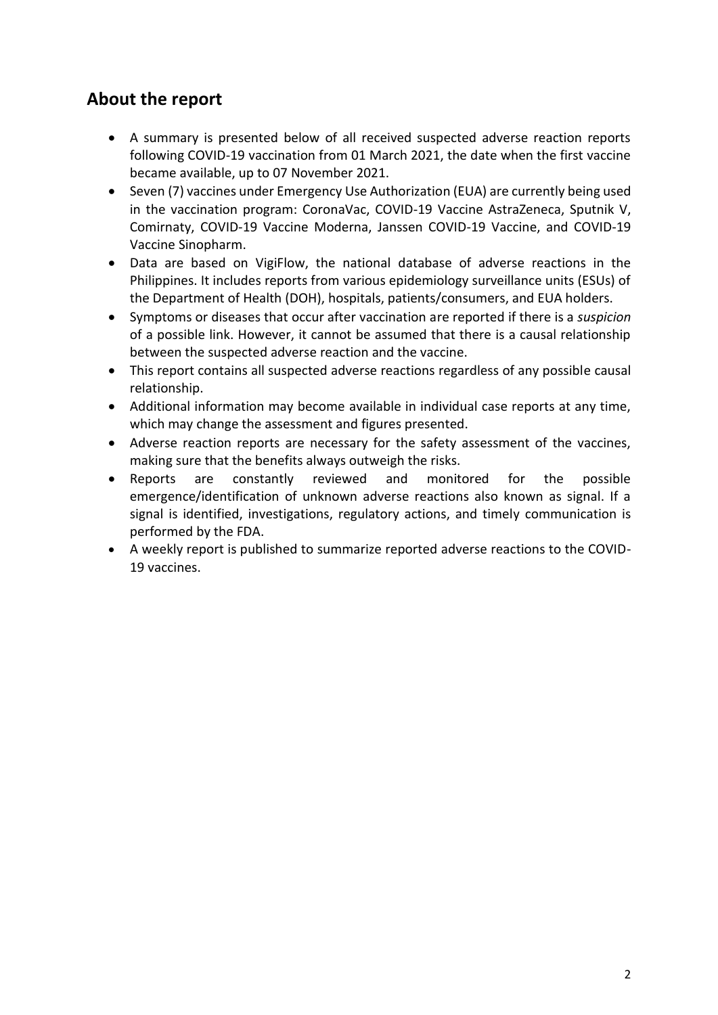# **About the report**

- A summary is presented below of all received suspected adverse reaction reports following COVID-19 vaccination from 01 March 2021, the date when the first vaccine became available, up to 07 November 2021.
- Seven (7) vaccines under Emergency Use Authorization (EUA) are currently being used in the vaccination program: CoronaVac, COVID-19 Vaccine AstraZeneca, Sputnik V, Comirnaty, COVID-19 Vaccine Moderna, Janssen COVID-19 Vaccine, and COVID-19 Vaccine Sinopharm.
- Data are based on VigiFlow, the national database of adverse reactions in the Philippines. It includes reports from various epidemiology surveillance units (ESUs) of the Department of Health (DOH), hospitals, patients/consumers, and EUA holders.
- Symptoms or diseases that occur after vaccination are reported if there is a *suspicion* of a possible link. However, it cannot be assumed that there is a causal relationship between the suspected adverse reaction and the vaccine.
- This report contains all suspected adverse reactions regardless of any possible causal relationship.
- Additional information may become available in individual case reports at any time, which may change the assessment and figures presented.
- Adverse reaction reports are necessary for the safety assessment of the vaccines, making sure that the benefits always outweigh the risks.
- Reports are constantly reviewed and monitored for the possible emergence/identification of unknown adverse reactions also known as signal. If a signal is identified, investigations, regulatory actions, and timely communication is performed by the FDA.
- A weekly report is published to summarize reported adverse reactions to the COVID-19 vaccines.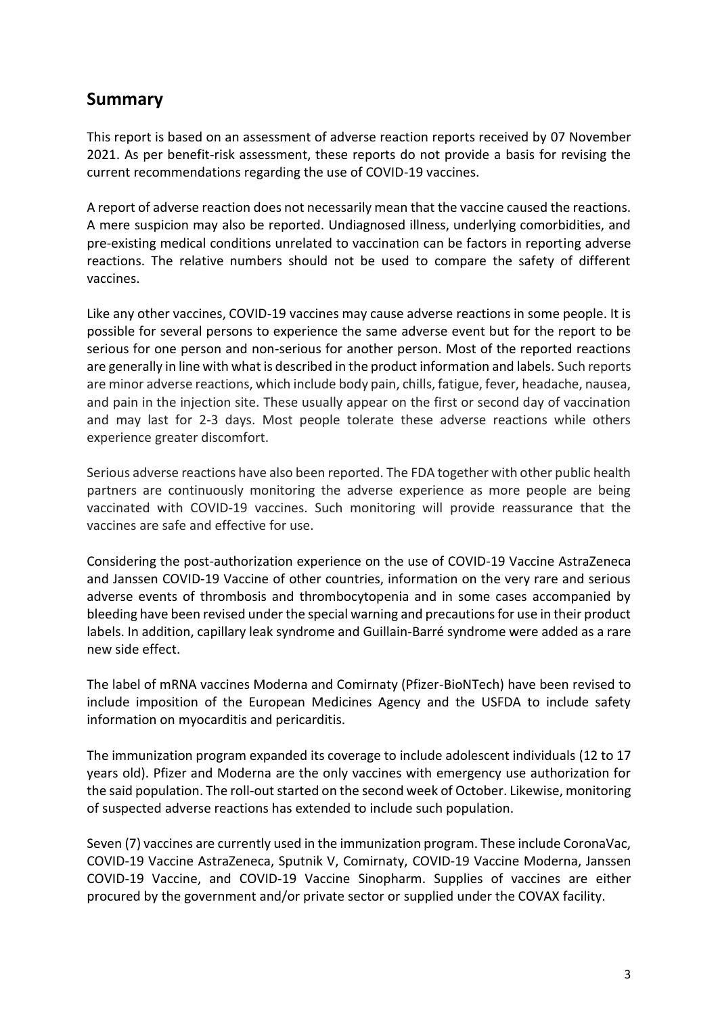# **Summary**

This report is based on an assessment of adverse reaction reports received by 07 November 2021. As per benefit-risk assessment, these reports do not provide a basis for revising the current recommendations regarding the use of COVID-19 vaccines.

A report of adverse reaction does not necessarily mean that the vaccine caused the reactions. A mere suspicion may also be reported. Undiagnosed illness, underlying comorbidities, and pre-existing medical conditions unrelated to vaccination can be factors in reporting adverse reactions. The relative numbers should not be used to compare the safety of different vaccines.

Like any other vaccines, COVID-19 vaccines may cause adverse reactions in some people. It is possible for several persons to experience the same adverse event but for the report to be serious for one person and non-serious for another person. Most of the reported reactions are generally in line with what is described in the product information and labels. Such reports are minor adverse reactions, which include body pain, chills, fatigue, fever, headache, nausea, and pain in the injection site. These usually appear on the first or second day of vaccination and may last for 2-3 days. Most people tolerate these adverse reactions while others experience greater discomfort.

Serious adverse reactions have also been reported. The FDA together with other public health partners are continuously monitoring the adverse experience as more people are being vaccinated with COVID-19 vaccines. Such monitoring will provide reassurance that the vaccines are safe and effective for use.

Considering the post-authorization experience on the use of COVID-19 Vaccine AstraZeneca and Janssen COVID-19 Vaccine of other countries, information on the very rare and serious adverse events of thrombosis and thrombocytopenia and in some cases accompanied by bleeding have been revised under the special warning and precautions for use in their product labels. In addition, capillary leak syndrome and Guillain-Barré syndrome were added as a rare new side effect.

The label of mRNA vaccines Moderna and Comirnaty (Pfizer-BioNTech) have been revised to include imposition of the European Medicines Agency and the USFDA to include safety information on myocarditis and pericarditis.

The immunization program expanded its coverage to include adolescent individuals (12 to 17 years old). Pfizer and Moderna are the only vaccines with emergency use authorization for the said population. The roll-out started on the second week of October. Likewise, monitoring of suspected adverse reactions has extended to include such population.

Seven (7) vaccines are currently used in the immunization program. These include CoronaVac, COVID-19 Vaccine AstraZeneca, Sputnik V, Comirnaty, COVID-19 Vaccine Moderna, Janssen COVID-19 Vaccine, and COVID-19 Vaccine Sinopharm. Supplies of vaccines are either procured by the government and/or private sector or supplied under the COVAX facility.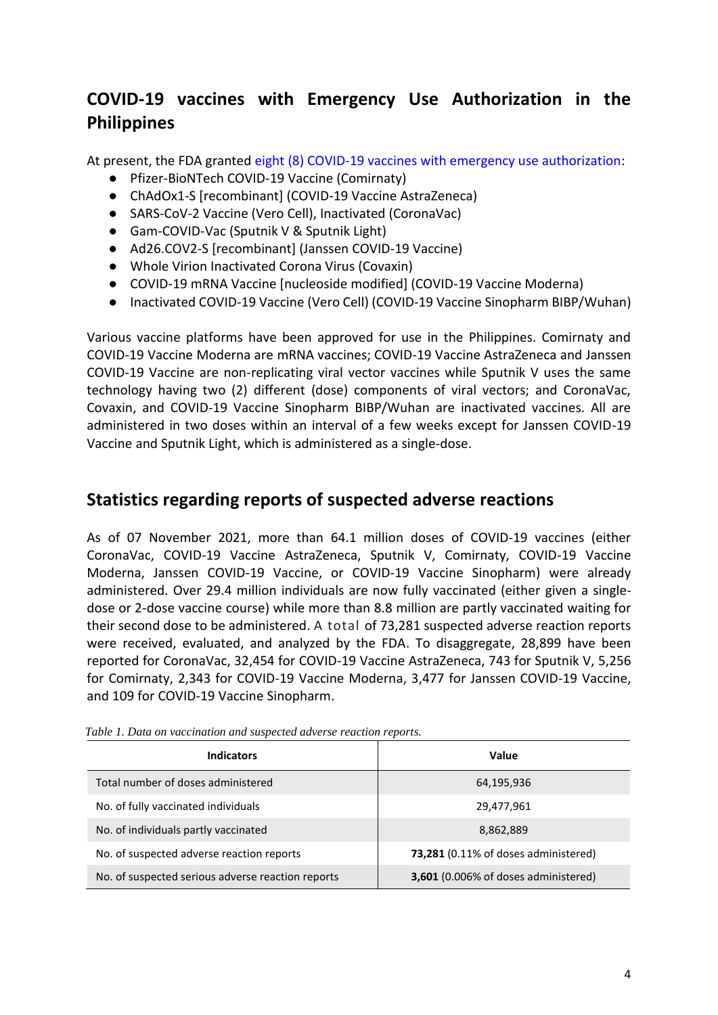# **COVID-19 vaccines with Emergency Use Authorization in the Philippines**

At present, the FDA granted [eight \(8\) COVID-19 vaccines with emergency use authorization:](https://www.fda.gov.ph/list-of-fda-issued-emergency-use-authorization/)

- Pfizer-BioNTech COVID-19 Vaccine (Comirnaty)
- ChAdOx1-S [recombinant] (COVID-19 Vaccine AstraZeneca)
- SARS-CoV-2 Vaccine (Vero Cell), Inactivated (CoronaVac)
- Gam-COVID-Vac (Sputnik V & Sputnik Light)
- Ad26.COV2-S [recombinant] (Janssen COVID-19 Vaccine)
- Whole Virion Inactivated Corona Virus (Covaxin)
- COVID-19 mRNA Vaccine [nucleoside modified] (COVID-19 Vaccine Moderna)
- Inactivated COVID-19 Vaccine (Vero Cell) (COVID-19 Vaccine Sinopharm BIBP/Wuhan)

Various vaccine platforms have been approved for use in the Philippines. Comirnaty and COVID-19 Vaccine Moderna are mRNA vaccines; COVID-19 Vaccine AstraZeneca and Janssen COVID-19 Vaccine are non-replicating viral vector vaccines while Sputnik V uses the same technology having two (2) different (dose) components of viral vectors; and CoronaVac, Covaxin, and COVID-19 Vaccine Sinopharm BIBP/Wuhan are inactivated vaccines. All are administered in two doses within an interval of a few weeks except for Janssen COVID-19 Vaccine and Sputnik Light, which is administered as a single-dose.

### **Statistics regarding reports of suspected adverse reactions**

As of 07 November 2021, more than 64.1 million doses of COVID-19 vaccines (either CoronaVac, COVID-19 Vaccine AstraZeneca, Sputnik V, Comirnaty, COVID-19 Vaccine Moderna, Janssen COVID-19 Vaccine, or COVID-19 Vaccine Sinopharm) were already administered. Over 29.4 million individuals are now fully vaccinated (either given a singledose or 2-dose vaccine course) while more than 8.8 million are partly vaccinated waiting for their second dose to be administered. A total of 73,281 suspected adverse reaction reports were received, evaluated, and analyzed by the FDA. To disaggregate, 28,899 have been reported for CoronaVac, 32,454 for COVID-19 Vaccine AstraZeneca, 743 for Sputnik V, 5,256 for Comirnaty, 2,343 for COVID-19 Vaccine Moderna, 3,477 for Janssen COVID-19 Vaccine, and 109 for COVID-19 Vaccine Sinopharm.

| Indicators                                        | Value                                       |
|---------------------------------------------------|---------------------------------------------|
| Total number of doses administered                | 64,195,936                                  |
| No. of fully vaccinated individuals               | 29,477,961                                  |
| No. of individuals partly vaccinated              | 8,862,889                                   |
| No. of suspected adverse reaction reports         | <b>73,281</b> (0.11% of doses administered) |
| No. of suspected serious adverse reaction reports | 3,601 (0.006% of doses administered)        |

*Table 1. Data on vaccination and suspected adverse reaction reports.*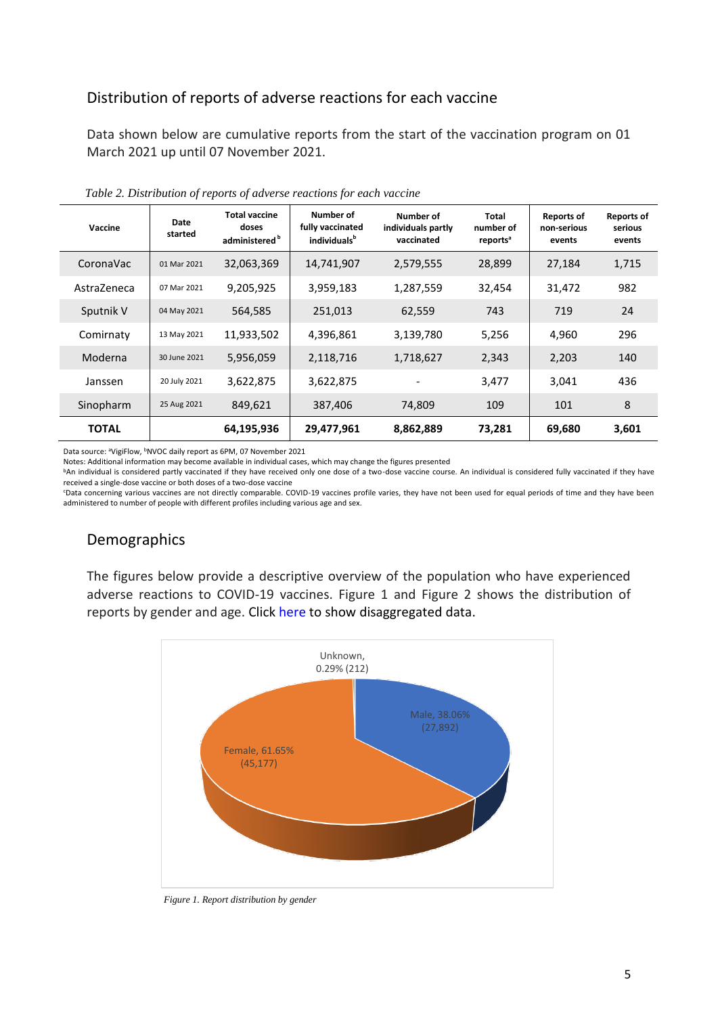### Distribution of reports of adverse reactions for each vaccine

Data shown below are cumulative reports from the start of the vaccination program on 01 March 2021 up until 07 November 2021.

| Vaccine      | Date<br>started | <b>Total vaccine</b><br>doses<br>administered <sup>b</sup> | Number of<br>fully vaccinated<br>individuals <sup>b</sup> | Number of<br>individuals partly<br>vaccinated | Total<br>number of<br>reports <sup>a</sup> | <b>Reports of</b><br>non-serious<br>events | <b>Reports of</b><br>serious<br>events |
|--------------|-----------------|------------------------------------------------------------|-----------------------------------------------------------|-----------------------------------------------|--------------------------------------------|--------------------------------------------|----------------------------------------|
| CoronaVac    | 01 Mar 2021     | 32,063,369                                                 | 14,741,907                                                | 2,579,555                                     | 28,899                                     | 27,184                                     | 1,715                                  |
| AstraZeneca  | 07 Mar 2021     | 9,205,925                                                  | 3,959,183                                                 | 1,287,559                                     | 32,454                                     | 31,472                                     | 982                                    |
| Sputnik V    | 04 May 2021     | 564,585                                                    | 251,013                                                   | 62,559                                        | 743                                        | 719                                        | 24                                     |
| Comirnaty    | 13 May 2021     | 11,933,502                                                 | 4,396,861                                                 | 3,139,780                                     | 5,256                                      | 4,960                                      | 296                                    |
| Moderna      | 30 June 2021    | 5,956,059                                                  | 2,118,716                                                 | 1,718,627                                     | 2,343                                      | 2,203                                      | 140                                    |
| Janssen      | 20 July 2021    | 3,622,875                                                  | 3,622,875                                                 |                                               | 3,477                                      | 3,041                                      | 436                                    |
| Sinopharm    | 25 Aug 2021     | 849,621                                                    | 387,406                                                   | 74,809                                        | 109                                        | 101                                        | 8                                      |
| <b>TOTAL</b> |                 | 64,195,936                                                 | 29,477,961                                                | 8,862,889                                     | 73,281                                     | 69,680                                     | 3,601                                  |

*Table 2. Distribution of reports of adverse reactions for each vaccine*

Data source: <sup>a</sup>VigiFlow, <sup>b</sup>NVOC daily report as 6PM, 07 November 2021

Notes: Additional information may become available in individual cases, which may change the figures presented

bAn individual is considered partly vaccinated if they have received only one dose of a two-dose vaccine course. An individual is considered fully vaccinated if they have received a single-dose vaccine or both doses of a two-dose vaccine

<sup>c</sup>Data concerning various vaccines are not directly comparable. COVID-19 vaccines profile varies, they have not been used for equal periods of time and they have been administered to number of people with different profiles including various age and sex.

### Demographics

The figures below provide a descriptive overview of the population who have experienced adverse reactions to COVID-19 vaccines. Figure 1 and Figure 2 shows the distribution of reports by gender and age. Click [here](https://drive.google.com/drive/folders/1bpT1ldH2x7I6awtGjRA5Ixl6Echw6qDr?usp=sharing) to show disaggregated data.



*Figure 1. Report distribution by gender*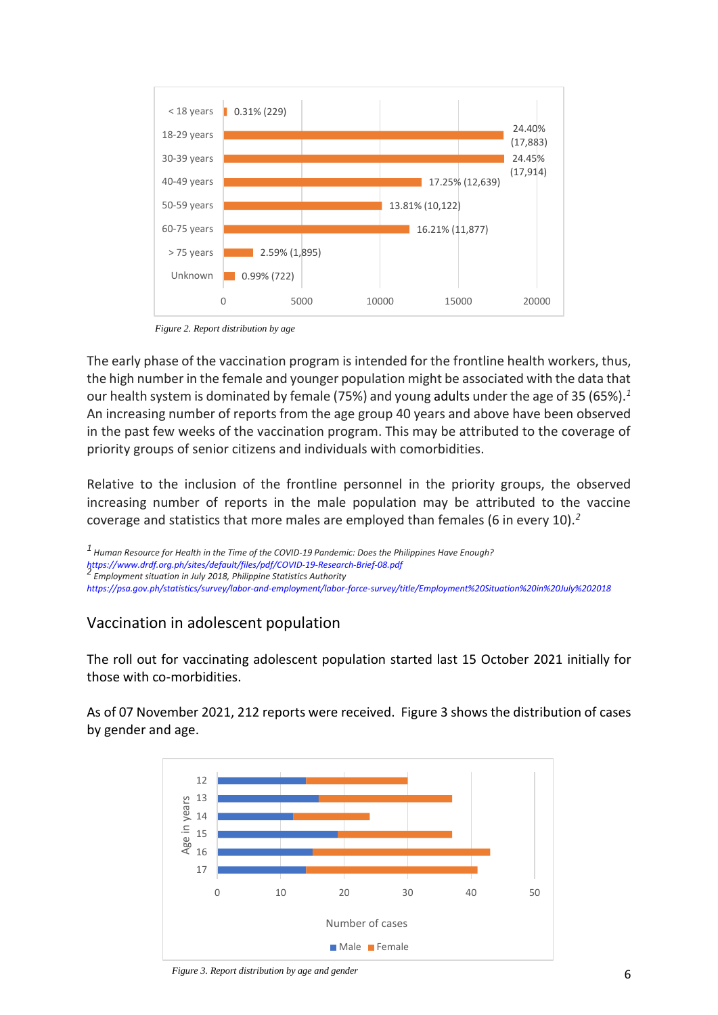

*Figure 2. Report distribution by age*

The early phase of the vaccination program is intended for the frontline health workers, thus, the high number in the female and younger population might be associated with the data that our health system is dominated by female (75%) and young adults under the age of 35 (65%).*<sup>1</sup>* An increasing number of reports from the age group 40 years and above have been observed in the past few weeks of the vaccination program. This may be attributed to the coverage of priority groups of senior citizens and individuals with comorbidities.

Relative to the inclusion of the frontline personnel in the priority groups, the observed increasing number of reports in the male population may be attributed to the vaccine coverage and statistics that more males are employed than females (6 in every 10).*<sup>2</sup>*

*1 Human Resource for Health in the Time of the COVID-19 Pandemic: Does the Philippines Have Enough? <https://www.drdf.org.ph/sites/default/files/pdf/COVID-19-Research-Brief-08.pdf> 2 Employment situation in July 2018, Philippine Statistics Authority*

*<https://psa.gov.ph/statistics/survey/labor-and-employment/labor-force-survey/title/Employment%20Situation%20in%20July%202018>*

### Vaccination in adolescent population

The roll out for vaccinating adolescent population started last 15 October 2021 initially for those with co-morbidities.

As of 07 November 2021, 212 reports were received. Figure 3 shows the distribution of cases by gender and age.



*Figure 3. Report distribution by age and gender*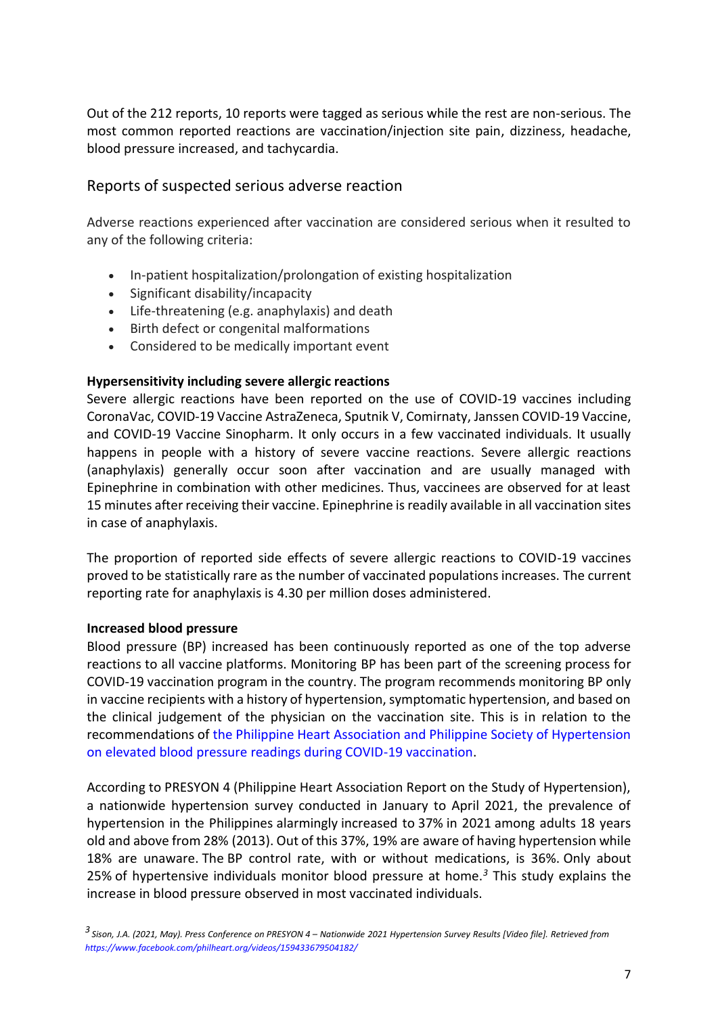Out of the 212 reports, 10 reports were tagged as serious while the rest are non-serious. The most common reported reactions are vaccination/injection site pain, dizziness, headache, blood pressure increased, and tachycardia.

### Reports of suspected serious adverse reaction

Adverse reactions experienced after vaccination are considered serious when it resulted to any of the following criteria:

- In-patient hospitalization/prolongation of existing hospitalization
- Significant disability/incapacity
- Life-threatening (e.g. anaphylaxis) and death
- Birth defect or congenital malformations
- Considered to be medically important event

#### **Hypersensitivity including severe allergic reactions**

Severe allergic reactions have been reported on the use of COVID-19 vaccines including CoronaVac, COVID-19 Vaccine AstraZeneca, Sputnik V, Comirnaty, Janssen COVID-19 Vaccine, and COVID-19 Vaccine Sinopharm. It only occurs in a few vaccinated individuals. It usually happens in people with a history of severe vaccine reactions. Severe allergic reactions (anaphylaxis) generally occur soon after vaccination and are usually managed with Epinephrine in combination with other medicines. Thus, vaccinees are observed for at least 15 minutes after receiving their vaccine. Epinephrine is readily available in all vaccination sites in case of anaphylaxis.

The proportion of reported side effects of severe allergic reactions to COVID-19 vaccines proved to be statistically rare as the number of vaccinated populations increases. The current reporting rate for anaphylaxis is 4.30 per million doses administered.

#### **Increased blood pressure**

Blood pressure (BP) increased has been continuously reported as one of the top adverse reactions to all vaccine platforms. Monitoring BP has been part of the screening process for COVID-19 vaccination program in the country. The program recommends monitoring BP only in vaccine recipients with a history of hypertension, symptomatic hypertension, and based on the clinical judgement of the physician on the vaccination site. This is in relation to the recommendations of [the Philippine Heart Association and Philippine Society of Hypertension](https://pcp.org.ph/index.php/position-statements)  [on elevated blood pressure readings during COVID-19 vaccination.](https://pcp.org.ph/index.php/position-statements)

According to PRESYON 4 (Philippine Heart Association Report on the Study of Hypertension), a nationwide hypertension survey conducted in January to April 2021, the prevalence of hypertension in the Philippines alarmingly increased to 37% in 2021 among adults 18 years old and above from 28% (2013). Out of this 37%, 19% are aware of having hypertension while 18% are unaware. The BP control rate, with or without medications, is 36%. Only about 25% of hypertensive individuals monitor blood pressure at home.*<sup>3</sup>* This study explains the increase in blood pressure observed in most vaccinated individuals.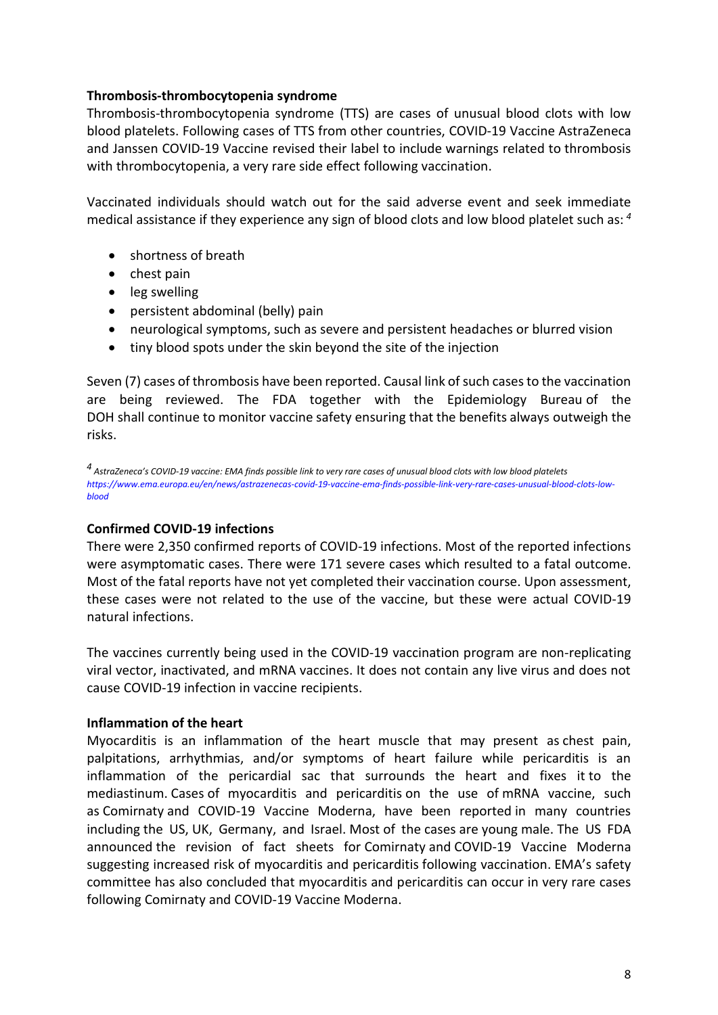#### **Thrombosis-thrombocytopenia syndrome**

Thrombosis-thrombocytopenia syndrome (TTS) are cases of unusual blood clots with low blood platelets. Following cases of TTS from other countries, COVID-19 Vaccine AstraZeneca and Janssen COVID-19 Vaccine revised their label to include warnings related to thrombosis with thrombocytopenia, a very rare side effect following vaccination.

Vaccinated individuals should watch out for the said adverse event and seek immediate medical assistance if they experience any sign of blood clots and low blood platelet such as: *<sup>4</sup>*

- shortness of breath
- chest pain
- leg swelling
- persistent abdominal (belly) pain
- neurological symptoms, such as severe and persistent headaches or blurred vision
- tiny blood spots under the skin beyond the site of the injection

Seven (7) cases of thrombosis have been reported. Causal link of such cases to the vaccination are being reviewed. The FDA together with the Epidemiology Bureau of the DOH shall continue to monitor vaccine safety ensuring that the benefits always outweigh the risks.

*4 AstraZeneca's COVID-19 vaccine: EMA finds possible link to very rare cases of unusual blood clots with low blood platelets [https://www.ema.europa.eu/en/news/astrazenecas-covid-19-vaccine-ema-finds-possible-link-very-rare-cases-unusual-blood-clots-low](https://www.ema.europa.eu/en/news/astrazenecas-covid-19-vaccine-ema-finds-possible-link-very-rare-cases-unusual-blood-clots-low-blood)[blood](https://www.ema.europa.eu/en/news/astrazenecas-covid-19-vaccine-ema-finds-possible-link-very-rare-cases-unusual-blood-clots-low-blood)*

#### **Confirmed COVID-19 infections**

There were 2,350 confirmed reports of COVID-19 infections. Most of the reported infections were asymptomatic cases. There were 171 severe cases which resulted to a fatal outcome. Most of the fatal reports have not yet completed their vaccination course. Upon assessment, these cases were not related to the use of the vaccine, but these were actual COVID-19 natural infections.

The vaccines currently being used in the COVID-19 vaccination program are non-replicating viral vector, inactivated, and mRNA vaccines. It does not contain any live virus and does not cause COVID-19 infection in vaccine recipients.

#### **Inflammation of the heart**

Myocarditis is an inflammation of the heart muscle that may present as chest pain, palpitations, arrhythmias, and/or symptoms of heart failure while pericarditis is an inflammation of the pericardial sac that surrounds the heart and fixes it to the mediastinum. Cases of myocarditis and pericarditis on the use of mRNA vaccine, such as Comirnaty and COVID-19 Vaccine Moderna, have been reported in many countries including the US, UK, Germany, and Israel. Most of the cases are young male. The US FDA announced the revision of fact sheets for Comirnaty and COVID-19 Vaccine Moderna suggesting increased risk of myocarditis and pericarditis following vaccination. EMA's safety committee has also concluded that myocarditis and pericarditis can occur in very rare cases following Comirnaty and COVID-19 Vaccine Moderna.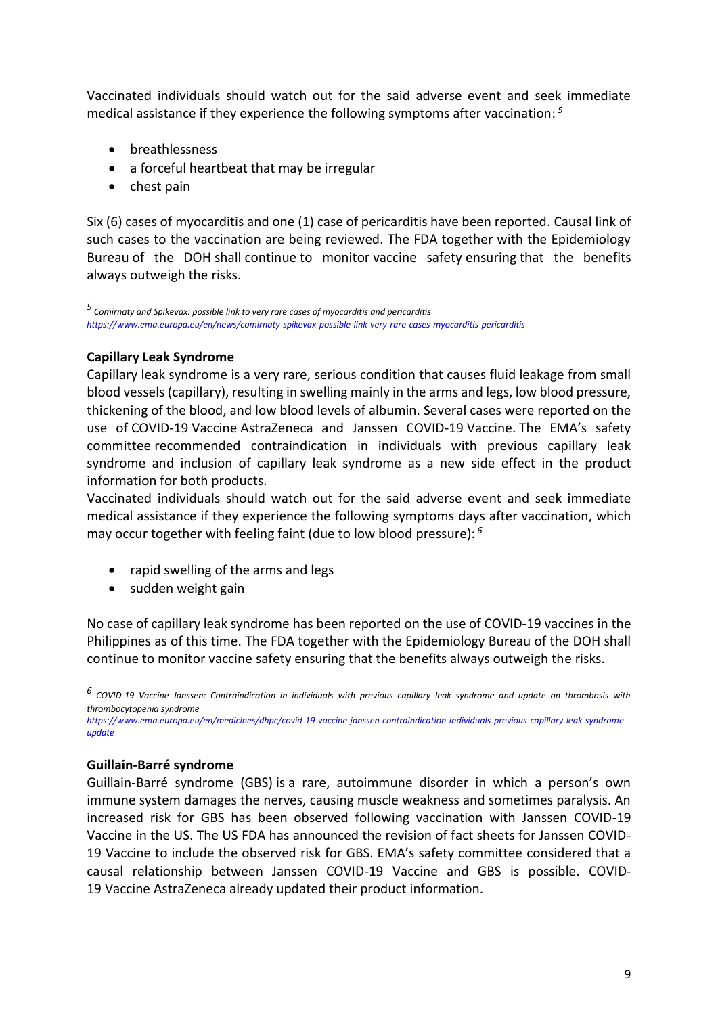Vaccinated individuals should watch out for the said adverse event and seek immediate medical assistance if they experience the following symptoms after vaccination: *5*

- breathlessness
- a forceful heartbeat that may be irregular
- chest pain

Six (6) cases of myocarditis and one (1) case of pericarditis have been reported. Causal link of such cases to the vaccination are being reviewed. The FDA together with the Epidemiology Bureau of the DOH shall continue to monitor vaccine safety ensuring that the benefits always outweigh the risks.

*5 Comirnaty and Spikevax: possible link to very rare cases of myocarditis and pericarditis <https://www.ema.europa.eu/en/news/comirnaty-spikevax-possible-link-very-rare-cases-myocarditis-pericarditis>*

#### **Capillary Leak Syndrome**

Capillary leak syndrome is a very rare, serious condition that causes fluid leakage from small blood vessels (capillary), resulting in swelling mainly in the arms and legs, low blood pressure, thickening of the blood, and low blood levels of albumin. Several cases were reported on the use of COVID-19 Vaccine AstraZeneca and Janssen COVID-19 Vaccine. The EMA's safety committee recommended contraindication in individuals with previous capillary leak syndrome and inclusion of capillary leak syndrome as a new side effect in the product information for both products.

Vaccinated individuals should watch out for the said adverse event and seek immediate medical assistance if they experience the following symptoms days after vaccination, which may occur together with feeling faint (due to low blood pressure): *6*

- rapid swelling of the arms and legs
- sudden weight gain

No case of capillary leak syndrome has been reported on the use of COVID-19 vaccines in the Philippines as of this time. The FDA together with the Epidemiology Bureau of the DOH shall continue to monitor vaccine safety ensuring that the benefits always outweigh the risks.

*6 COVID-19 Vaccine Janssen: Contraindication in individuals with previous capillary leak syndrome and update on thrombosis with thrombocytopenia syndrome*

*[https://www.ema.europa.eu/en/medicines/dhpc/covid-19-vaccine-janssen-contraindication-individuals-previous-capillary-leak-syndrome](https://www.ema.europa.eu/en/medicines/dhpc/covid-19-vaccine-janssen-contraindication-individuals-previous-capillary-leak-syndrome-update)[update](https://www.ema.europa.eu/en/medicines/dhpc/covid-19-vaccine-janssen-contraindication-individuals-previous-capillary-leak-syndrome-update)*

#### **Guillain-Barré syndrome**

Guillain-Barré syndrome (GBS) is a rare, autoimmune disorder in which a person's own immune system damages the nerves, causing muscle weakness and sometimes paralysis. An increased risk for GBS has been observed following vaccination with Janssen COVID-19 Vaccine in the US. The US FDA has announced the revision of fact sheets for Janssen COVID-19 Vaccine to include the observed risk for GBS. EMA's safety committee considered that a causal relationship between Janssen COVID-19 Vaccine and GBS is possible. COVID-19 Vaccine AstraZeneca already updated their product information.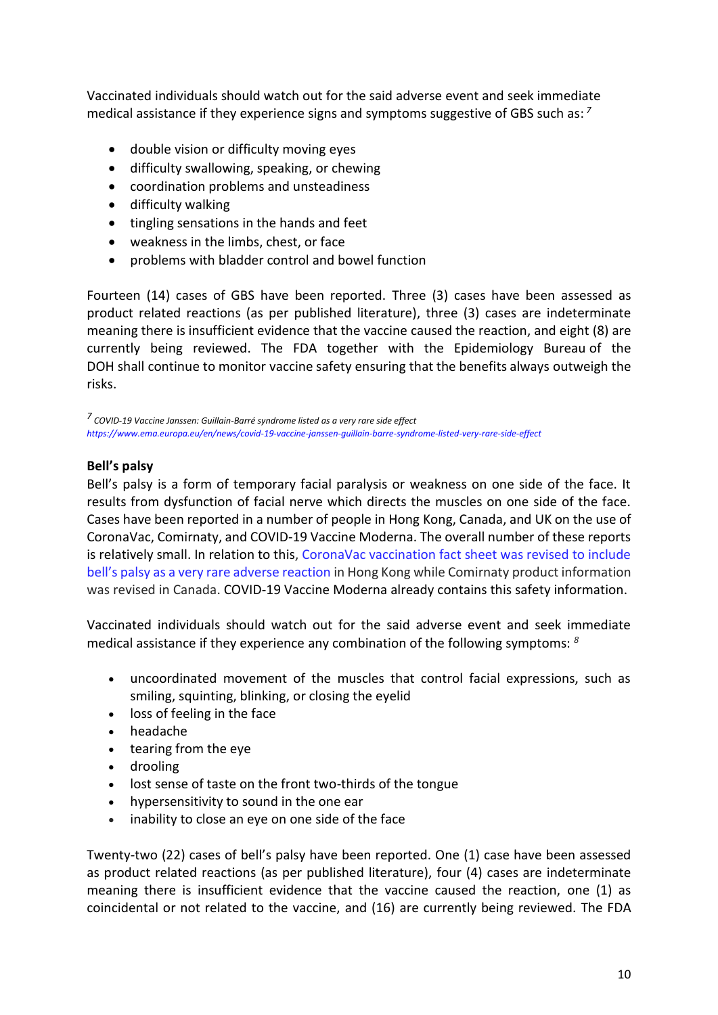Vaccinated individuals should watch out for the said adverse event and seek immediate medical assistance if they experience signs and symptoms suggestive of GBS such as: *7*

- double vision or difficulty moving eyes
- difficulty swallowing, speaking, or chewing
- coordination problems and unsteadiness
- difficulty walking
- tingling sensations in the hands and feet
- weakness in the limbs, chest, or face
- problems with bladder control and bowel function

Fourteen (14) cases of GBS have been reported. Three (3) cases have been assessed as product related reactions (as per published literature), three (3) cases are indeterminate meaning there is insufficient evidence that the vaccine caused the reaction, and eight (8) are currently being reviewed. The FDA together with the Epidemiology Bureau of the DOH shall continue to monitor vaccine safety ensuring that the benefits always outweigh the risks.

*7 COVID-19 Vaccine Janssen: Guillain-Barré syndrome listed as a very rare side effect <https://www.ema.europa.eu/en/news/covid-19-vaccine-janssen-guillain-barre-syndrome-listed-very-rare-side-effect>*

#### **Bell's palsy**

Bell's palsy is a form of temporary facial paralysis or weakness on one side of the face. It results from dysfunction of facial nerve which directs the muscles on one side of the face. Cases have been reported in a number of people in Hong Kong, Canada, and UK on the use of CoronaVac, Comirnaty, and COVID-19 Vaccine Moderna. The overall number of these reports is relatively small. In relation to this, [CoronaVac vaccination fact sheet was revised to include](https://www.drugoffice.gov.hk/eps/do/en/doc/Safety_Monitoring_of_COVID-19_Vaccines_in_Hong_Kong.pdf)  [bell's palsy as a very rare adverse reaction](https://www.drugoffice.gov.hk/eps/do/en/doc/Safety_Monitoring_of_COVID-19_Vaccines_in_Hong_Kong.pdf) in Hong Kong while Comirnaty product information was revised in Canada. COVID-19 Vaccine Moderna already contains this safety information.

Vaccinated individuals should watch out for the said adverse event and seek immediate medical assistance if they experience any combination of the following symptoms: *<sup>8</sup>*

- uncoordinated movement of the muscles that control facial expressions, such as smiling, squinting, blinking, or closing the eyelid
- loss of feeling in the face
- headache
- tearing from the eye
- drooling
- lost sense of taste on the front two-thirds of the tongue
- hypersensitivity to sound in the one ear
- inability to close an eye on one side of the face

Twenty-two (22) cases of bell's palsy have been reported. One (1) case have been assessed as product related reactions (as per published literature), four (4) cases are indeterminate meaning there is insufficient evidence that the vaccine caused the reaction, one (1) as coincidental or not related to the vaccine, and (16) are currently being reviewed. The FDA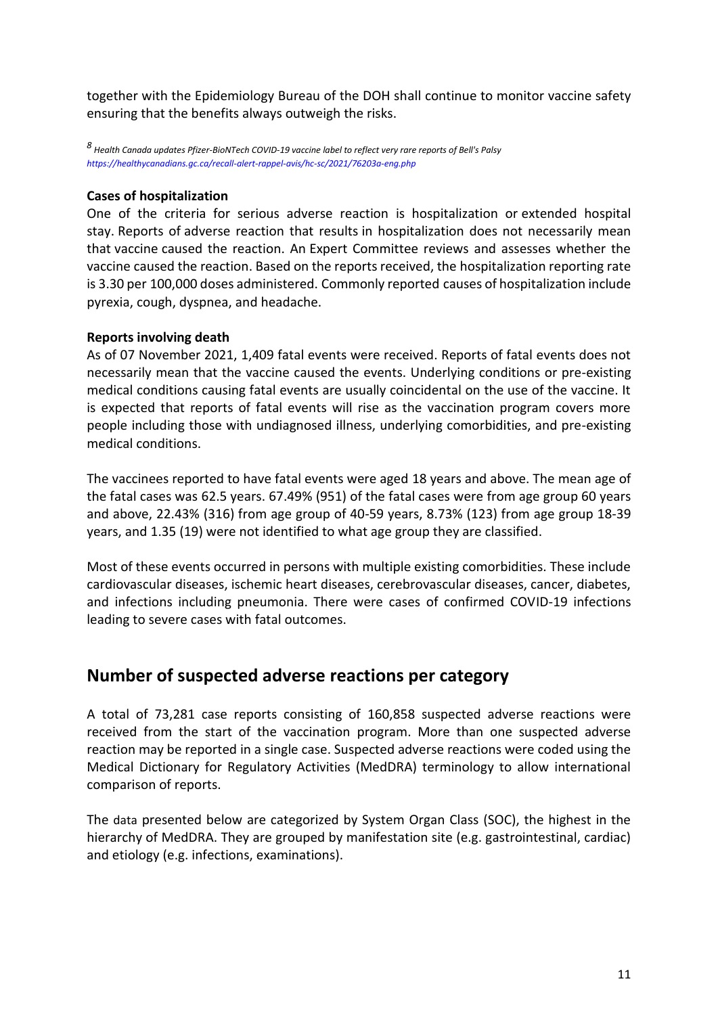together with the Epidemiology Bureau of the DOH shall continue to monitor vaccine safety ensuring that the benefits always outweigh the risks.

*8 Health Canada updates Pfizer-BioNTech COVID-19 vaccine label to reflect very rare reports of Bell's Palsy <https://healthycanadians.gc.ca/recall-alert-rappel-avis/hc-sc/2021/76203a-eng.php>*

#### **Cases of hospitalization**

One of the criteria for serious adverse reaction is hospitalization or extended hospital stay. Reports of adverse reaction that results in hospitalization does not necessarily mean that vaccine caused the reaction. An Expert Committee reviews and assesses whether the vaccine caused the reaction. Based on the reports received, the hospitalization reporting rate is 3.30 per 100,000 doses administered. Commonly reported causes of hospitalization include pyrexia, cough, dyspnea, and headache.

#### **Reports involving death**

As of 07 November 2021, 1,409 fatal events were received. Reports of fatal events does not necessarily mean that the vaccine caused the events. Underlying conditions or pre-existing medical conditions causing fatal events are usually coincidental on the use of the vaccine. It is expected that reports of fatal events will rise as the vaccination program covers more people including those with undiagnosed illness, underlying comorbidities, and pre-existing medical conditions.

The vaccinees reported to have fatal events were aged 18 years and above. The mean age of the fatal cases was 62.5 years. 67.49% (951) of the fatal cases were from age group 60 years and above, 22.43% (316) from age group of 40-59 years, 8.73% (123) from age group 18-39 years, and 1.35 (19) were not identified to what age group they are classified.

Most of these events occurred in persons with multiple existing comorbidities. These include cardiovascular diseases, ischemic heart diseases, cerebrovascular diseases, cancer, diabetes, and infections including pneumonia. There were cases of confirmed COVID-19 infections leading to severe cases with fatal outcomes.

### **Number of suspected adverse reactions per category**

A total of 73,281 case reports consisting of 160,858 suspected adverse reactions were received from the start of the vaccination program. More than one suspected adverse reaction may be reported in a single case. Suspected adverse reactions were coded using the Medical Dictionary for Regulatory Activities (MedDRA) terminology to allow international comparison of reports.

The data presented below are categorized by System Organ Class (SOC), the highest in the hierarchy of MedDRA. They are grouped by manifestation site (e.g. gastrointestinal, cardiac) and etiology (e.g. infections, examinations).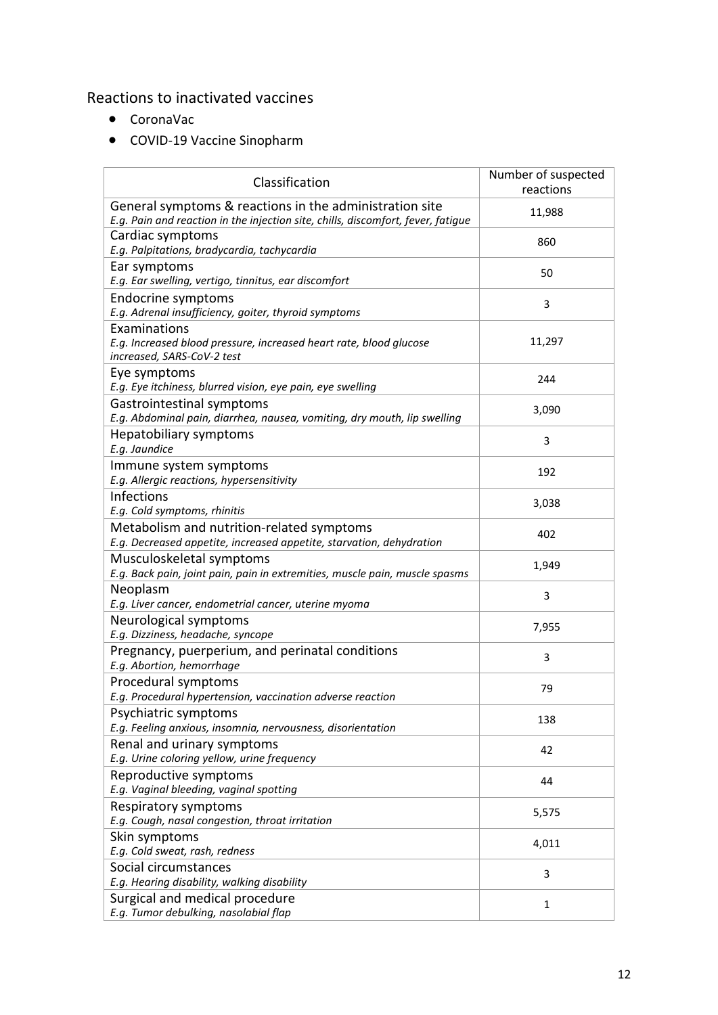### Reactions to inactivated vaccines

- CoronaVac
- COVID-19 Vaccine Sinopharm

| Classification                                                                                                                              | Number of suspected<br>reactions |
|---------------------------------------------------------------------------------------------------------------------------------------------|----------------------------------|
| General symptoms & reactions in the administration site<br>E.g. Pain and reaction in the injection site, chills, discomfort, fever, fatigue | 11,988                           |
| Cardiac symptoms<br>E.g. Palpitations, bradycardia, tachycardia                                                                             | 860                              |
| Ear symptoms<br>E.g. Ear swelling, vertigo, tinnitus, ear discomfort                                                                        | 50                               |
| Endocrine symptoms<br>E.g. Adrenal insufficiency, goiter, thyroid symptoms                                                                  | 3                                |
| Examinations<br>E.g. Increased blood pressure, increased heart rate, blood glucose<br>increased, SARS-CoV-2 test                            | 11,297                           |
| Eye symptoms<br>E.g. Eye itchiness, blurred vision, eye pain, eye swelling                                                                  | 244                              |
| Gastrointestinal symptoms<br>E.g. Abdominal pain, diarrhea, nausea, vomiting, dry mouth, lip swelling                                       | 3,090                            |
| Hepatobiliary symptoms<br>E.g. Jaundice                                                                                                     | 3                                |
| Immune system symptoms<br>E.g. Allergic reactions, hypersensitivity                                                                         | 192                              |
| <b>Infections</b><br>E.g. Cold symptoms, rhinitis                                                                                           | 3,038                            |
| Metabolism and nutrition-related symptoms<br>E.g. Decreased appetite, increased appetite, starvation, dehydration                           | 402                              |
| Musculoskeletal symptoms<br>E.g. Back pain, joint pain, pain in extremities, muscle pain, muscle spasms                                     | 1,949                            |
| Neoplasm<br>E.g. Liver cancer, endometrial cancer, uterine myoma                                                                            | 3                                |
| Neurological symptoms<br>E.g. Dizziness, headache, syncope                                                                                  | 7,955                            |
| Pregnancy, puerperium, and perinatal conditions<br>E.g. Abortion, hemorrhage                                                                | 3                                |
| Procedural symptoms<br>E.g. Procedural hypertension, vaccination adverse reaction                                                           | 79                               |
| Psychiatric symptoms<br>E.g. Feeling anxious, insomnia, nervousness, disorientation                                                         | 138                              |
| Renal and urinary symptoms<br>E.g. Urine coloring yellow, urine frequency                                                                   | 42                               |
| Reproductive symptoms<br>E.g. Vaginal bleeding, vaginal spotting                                                                            | 44                               |
| Respiratory symptoms<br>E.g. Cough, nasal congestion, throat irritation                                                                     | 5,575                            |
| Skin symptoms<br>E.g. Cold sweat, rash, redness                                                                                             | 4,011                            |
| Social circumstances<br>E.g. Hearing disability, walking disability                                                                         | 3                                |
| Surgical and medical procedure<br>E.g. Tumor debulking, nasolabial flap                                                                     | $\mathbf{1}$                     |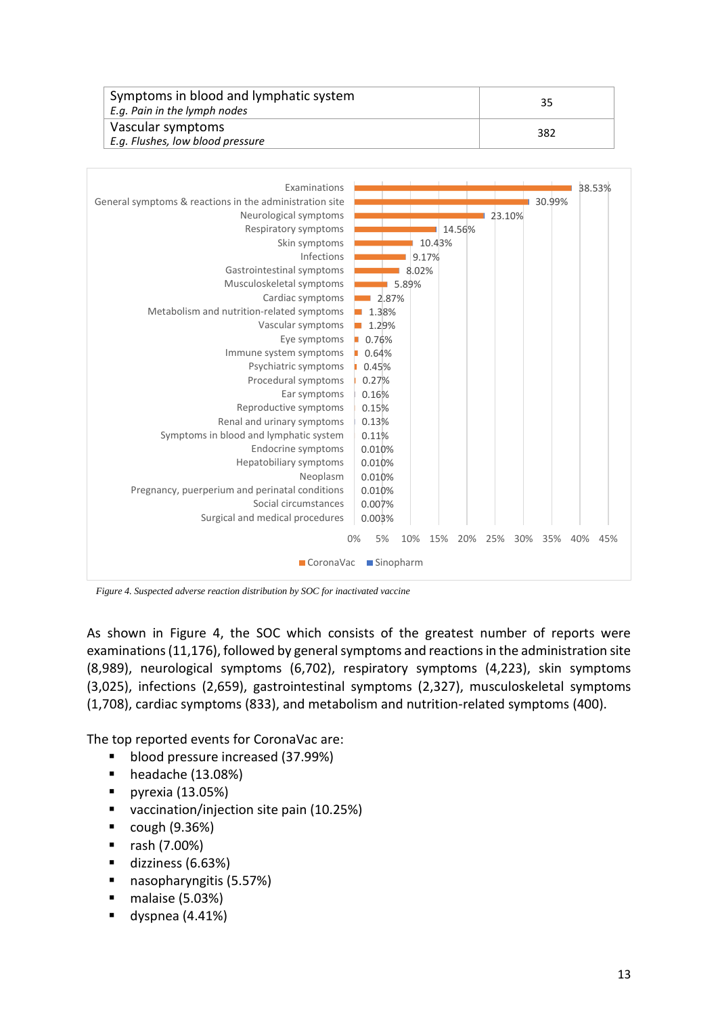| Symptoms in blood and lymphatic system<br>E.g. Pain in the lymph nodes | 35  |
|------------------------------------------------------------------------|-----|
| Vascular symptoms<br>E.g. Flushes, low blood pressure                  | 382 |



*Figure 4. Suspected adverse reaction distribution by SOC for inactivated vaccine*

As shown in Figure 4, the SOC which consists of the greatest number of reports were examinations (11,176), followed by general symptoms and reactions in the administration site (8,989), neurological symptoms (6,702), respiratory symptoms (4,223), skin symptoms (3,025), infections (2,659), gastrointestinal symptoms (2,327), musculoskeletal symptoms (1,708), cardiac symptoms (833), and metabolism and nutrition-related symptoms (400).

The top reported events for CoronaVac are:

- blood pressure increased (37.99%)
- headache (13.08%)
- pyrexia (13.05%)
- vaccination/injection site pain (10.25%)
- $\blacksquare$  cough (9.36%)
- rash (7.00%)
- dizziness (6.63%)
- nasopharyngitis (5.57%)
- malaise (5.03%)
- $\blacksquare$  dyspnea (4.41%)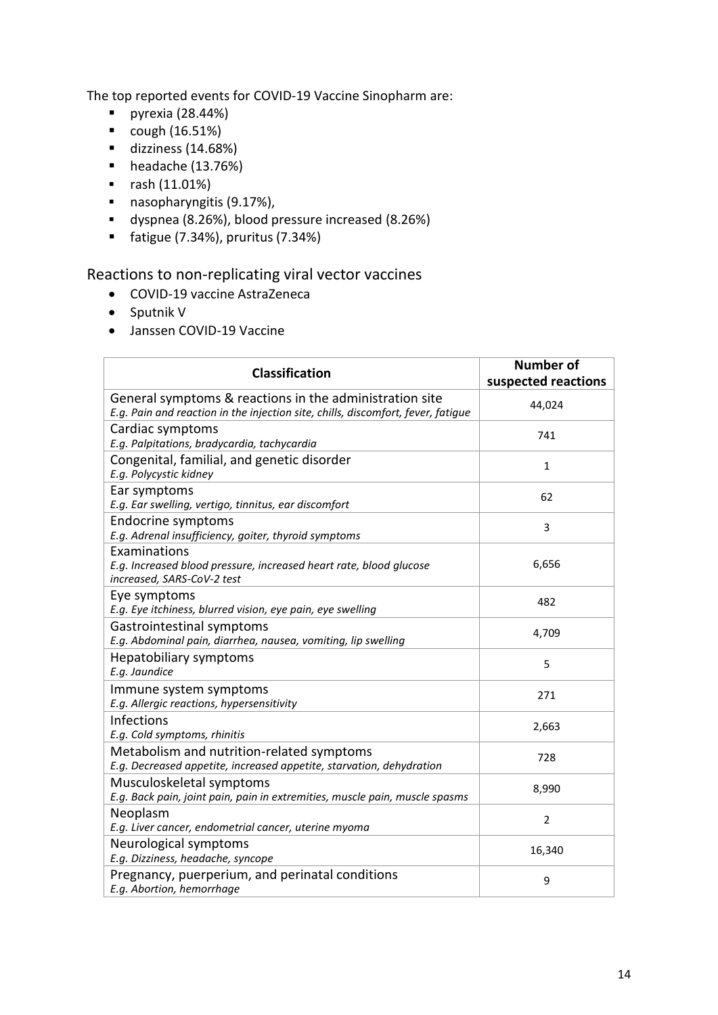The top reported events for COVID-19 Vaccine Sinopharm are:

- $\nightharpoonup$  pyrexia (28.44%)
- $cough (16.51%)$
- dizziness (14.68%)
- $\blacksquare$  headache (13.76%)
- rash (11.01%)
- nasopharyngitis (9.17%),
- dyspnea (8.26%), blood pressure increased (8.26%)
- $\blacksquare$  fatigue (7.34%), pruritus (7.34%)

### Reactions to non-replicating viral vector vaccines

- COVID-19 vaccine AstraZeneca
- Sputnik V
- Janssen COVID-19 Vaccine

| <b>Classification</b>                                                                                                                       | <b>Number of</b><br>suspected reactions |
|---------------------------------------------------------------------------------------------------------------------------------------------|-----------------------------------------|
| General symptoms & reactions in the administration site<br>E.g. Pain and reaction in the injection site, chills, discomfort, fever, fatigue | 44,024                                  |
| Cardiac symptoms<br>E.g. Palpitations, bradycardia, tachycardia                                                                             | 741                                     |
| Congenital, familial, and genetic disorder<br>E.g. Polycystic kidney                                                                        | 1                                       |
| Ear symptoms<br>E.g. Ear swelling, vertigo, tinnitus, ear discomfort                                                                        | 62                                      |
| <b>Endocrine symptoms</b><br>E.g. Adrenal insufficiency, goiter, thyroid symptoms                                                           | 3                                       |
| Examinations<br>E.g. Increased blood pressure, increased heart rate, blood glucose<br>increased, SARS-CoV-2 test                            | 6,656                                   |
| Eye symptoms<br>E.g. Eye itchiness, blurred vision, eye pain, eye swelling                                                                  | 482                                     |
| Gastrointestinal symptoms<br>E.g. Abdominal pain, diarrhea, nausea, vomiting, lip swelling                                                  | 4,709                                   |
| Hepatobiliary symptoms<br>E.g. Jaundice                                                                                                     | 5                                       |
| Immune system symptoms<br>E.g. Allergic reactions, hypersensitivity                                                                         | 271                                     |
| Infections<br>E.g. Cold symptoms, rhinitis                                                                                                  | 2,663                                   |
| Metabolism and nutrition-related symptoms<br>E.g. Decreased appetite, increased appetite, starvation, dehydration                           | 728                                     |
| Musculoskeletal symptoms<br>E.g. Back pain, joint pain, pain in extremities, muscle pain, muscle spasms                                     | 8,990                                   |
| Neoplasm<br>E.g. Liver cancer, endometrial cancer, uterine myoma                                                                            | $\overline{2}$                          |
| Neurological symptoms<br>E.g. Dizziness, headache, syncope                                                                                  | 16,340                                  |
| Pregnancy, puerperium, and perinatal conditions<br>E.g. Abortion, hemorrhage                                                                | 9                                       |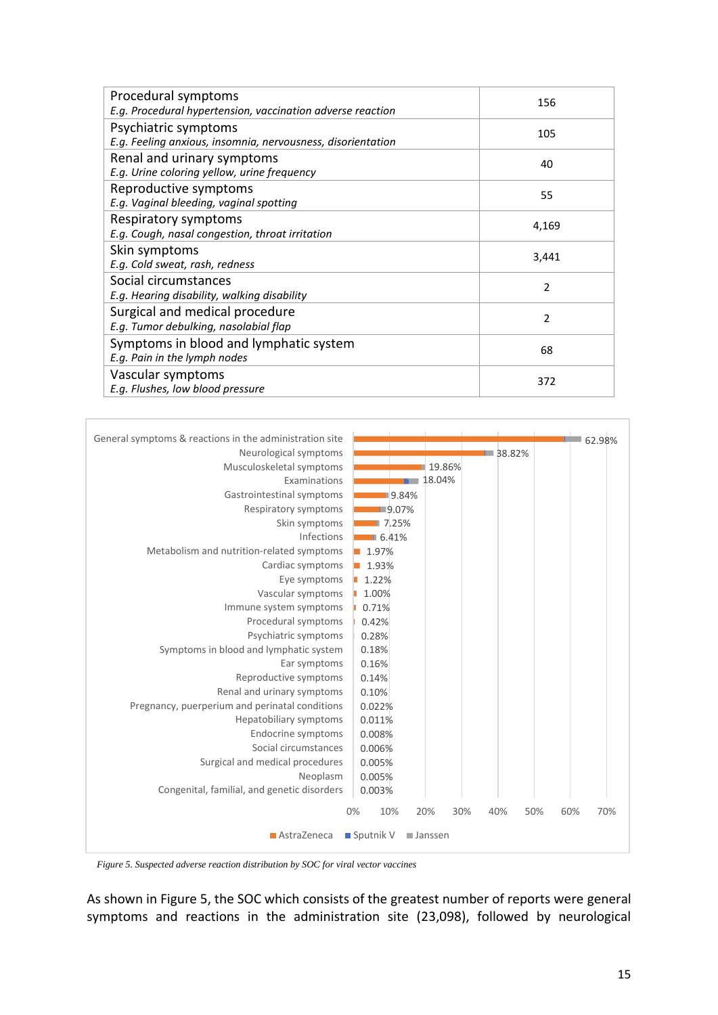| Procedural symptoms<br>E.g. Procedural hypertension, vaccination adverse reaction   | 156            |
|-------------------------------------------------------------------------------------|----------------|
| Psychiatric symptoms<br>E.g. Feeling anxious, insomnia, nervousness, disorientation | 105            |
| Renal and urinary symptoms<br>E.g. Urine coloring yellow, urine frequency           | 40             |
| Reproductive symptoms<br>E.g. Vaginal bleeding, vaginal spotting                    | 55             |
| Respiratory symptoms<br>E.g. Cough, nasal congestion, throat irritation             | 4,169          |
| Skin symptoms<br>E.g. Cold sweat, rash, redness                                     | 3,441          |
| Social circumstances<br>E.g. Hearing disability, walking disability                 | $\overline{2}$ |
| Surgical and medical procedure<br>E.g. Tumor debulking, nasolabial flap             | $\mathfrak z$  |
| Symptoms in blood and lymphatic system<br>E.g. Pain in the lymph nodes              | 68             |
| Vascular symptoms<br>E.g. Flushes, low blood pressure                               | 372            |



*Figure 5. Suspected adverse reaction distribution by SOC for viral vector vaccines*

As shown in Figure 5, the SOC which consists of the greatest number of reports were general symptoms and reactions in the administration site (23,098), followed by neurological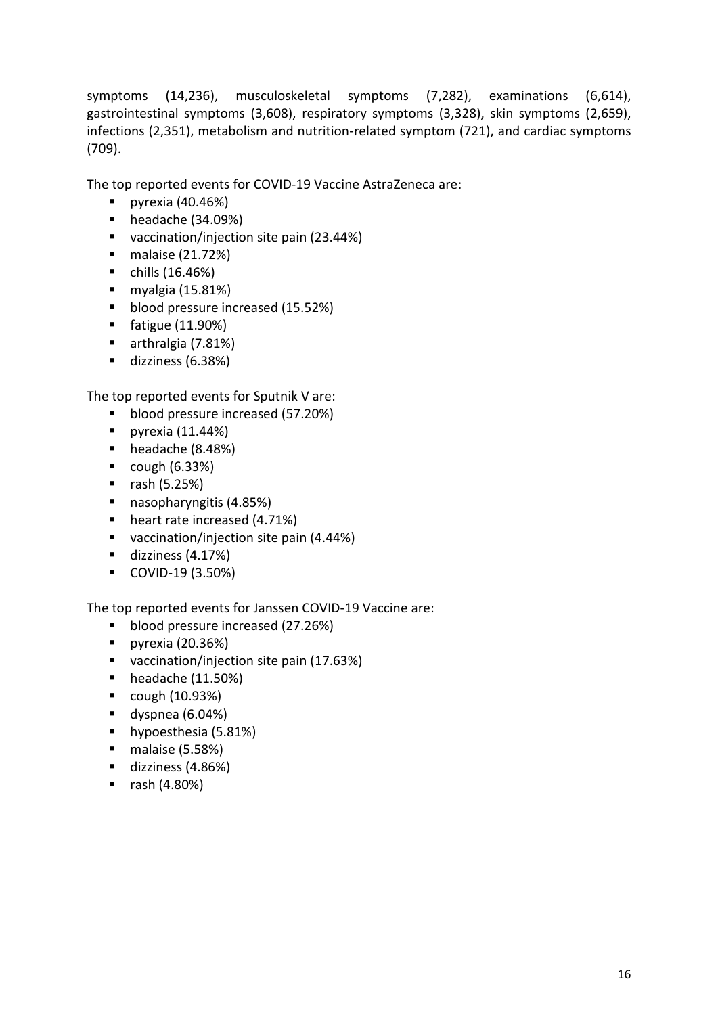symptoms (14,236), musculoskeletal symptoms (7,282), examinations (6,614), gastrointestinal symptoms (3,608), respiratory symptoms (3,328), skin symptoms (2,659), infections (2,351), metabolism and nutrition-related symptom (721), and cardiac symptoms (709).

The top reported events for COVID-19 Vaccine AstraZeneca are:

- $\blacksquare$  pyrexia (40.46%)
- headache (34.09%)
- vaccination/injection site pain (23.44%)
- malaise (21.72%)
- $\blacksquare$  chills (16.46%)
- $\blacksquare$  myalgia (15.81%)
- blood pressure increased (15.52%)
- fatigue (11.90%)
- arthralgia (7.81%)
- dizziness (6.38%)

The top reported events for Sputnik V are:

- blood pressure increased (57.20%)
- $\blacksquare$  pyrexia (11.44%)
- headache (8.48%)
- $\blacksquare$  cough (6.33%)
- $\blacksquare$  rash (5.25%)
- nasopharyngitis (4.85%)
- heart rate increased (4.71%)
- vaccination/injection site pain (4.44%)
- dizziness (4.17%)
- COVID-19 (3.50%)

The top reported events for Janssen COVID-19 Vaccine are:

- blood pressure increased (27.26%)
- pyrexia (20.36%)
- vaccination/injection site pain (17.63%)
- $\blacksquare$  headache (11.50%)
- $\blacksquare$  cough (10.93%)
- dyspnea (6.04%)
- hypoesthesia (5.81%)
- malaise (5.58%)
- dizziness (4.86%)
- rash (4.80%)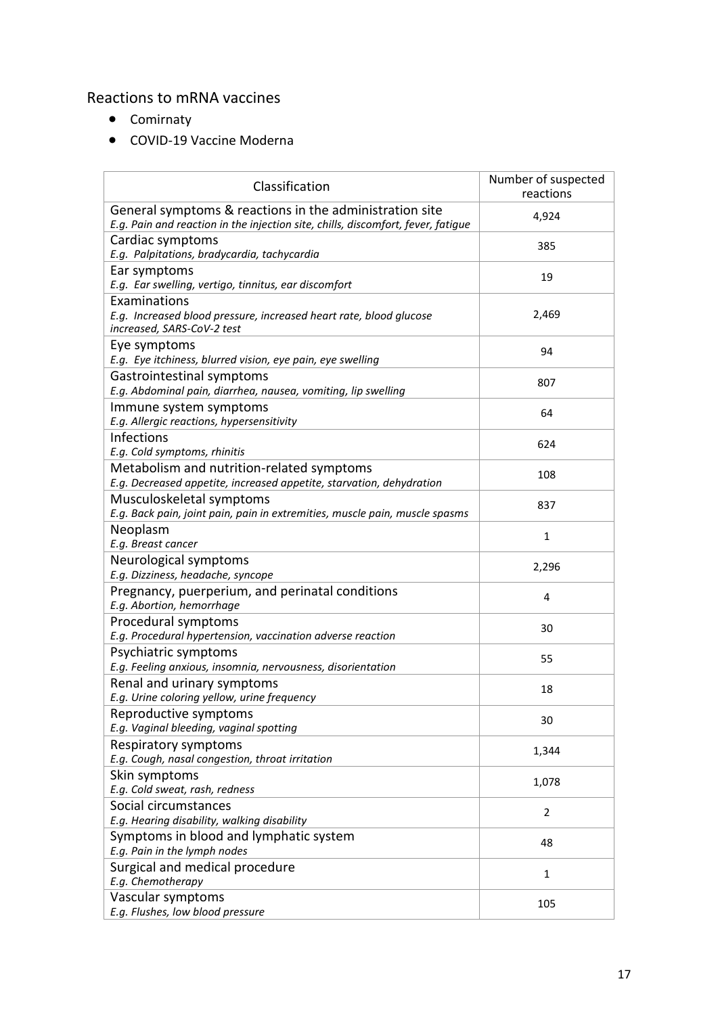### Reactions to mRNA vaccines

- Comirnaty
- COVID-19 Vaccine Moderna

| Classification                                                                                                                              | Number of suspected<br>reactions |
|---------------------------------------------------------------------------------------------------------------------------------------------|----------------------------------|
| General symptoms & reactions in the administration site<br>E.g. Pain and reaction in the injection site, chills, discomfort, fever, fatigue | 4,924                            |
| Cardiac symptoms<br>E.g. Palpitations, bradycardia, tachycardia                                                                             | 385                              |
| Ear symptoms<br>E.g. Ear swelling, vertigo, tinnitus, ear discomfort                                                                        | 19                               |
| Examinations<br>E.g. Increased blood pressure, increased heart rate, blood glucose<br>increased, SARS-CoV-2 test                            | 2,469                            |
| Eye symptoms<br>E.g. Eye itchiness, blurred vision, eye pain, eye swelling                                                                  | 94                               |
| Gastrointestinal symptoms<br>E.g. Abdominal pain, diarrhea, nausea, vomiting, lip swelling                                                  | 807                              |
| Immune system symptoms<br>E.g. Allergic reactions, hypersensitivity                                                                         | 64                               |
| Infections<br>E.g. Cold symptoms, rhinitis                                                                                                  | 624                              |
| Metabolism and nutrition-related symptoms<br>E.g. Decreased appetite, increased appetite, starvation, dehydration                           | 108                              |
| Musculoskeletal symptoms<br>E.g. Back pain, joint pain, pain in extremities, muscle pain, muscle spasms                                     | 837                              |
| Neoplasm<br>E.g. Breast cancer                                                                                                              | $\mathbf{1}$                     |
| Neurological symptoms<br>E.g. Dizziness, headache, syncope                                                                                  | 2,296                            |
| Pregnancy, puerperium, and perinatal conditions<br>E.g. Abortion, hemorrhage                                                                | 4                                |
| Procedural symptoms<br>E.g. Procedural hypertension, vaccination adverse reaction                                                           | 30                               |
| Psychiatric symptoms<br>E.g. Feeling anxious, insomnia, nervousness, disorientation                                                         | 55                               |
| Renal and urinary symptoms<br>E.g. Urine coloring yellow, urine frequency                                                                   | 18                               |
| Reproductive symptoms<br>E.g. Vaginal bleeding, vaginal spotting                                                                            | 30                               |
| Respiratory symptoms<br>E.g. Cough, nasal congestion, throat irritation                                                                     | 1,344                            |
| Skin symptoms<br>E.g. Cold sweat, rash, redness                                                                                             | 1,078                            |
| Social circumstances<br>E.g. Hearing disability, walking disability                                                                         | $\overline{2}$                   |
| Symptoms in blood and lymphatic system<br>E.g. Pain in the lymph nodes                                                                      | 48                               |
| Surgical and medical procedure<br>E.g. Chemotherapy                                                                                         | $\mathbf{1}$                     |
| Vascular symptoms<br>E.g. Flushes, low blood pressure                                                                                       | 105                              |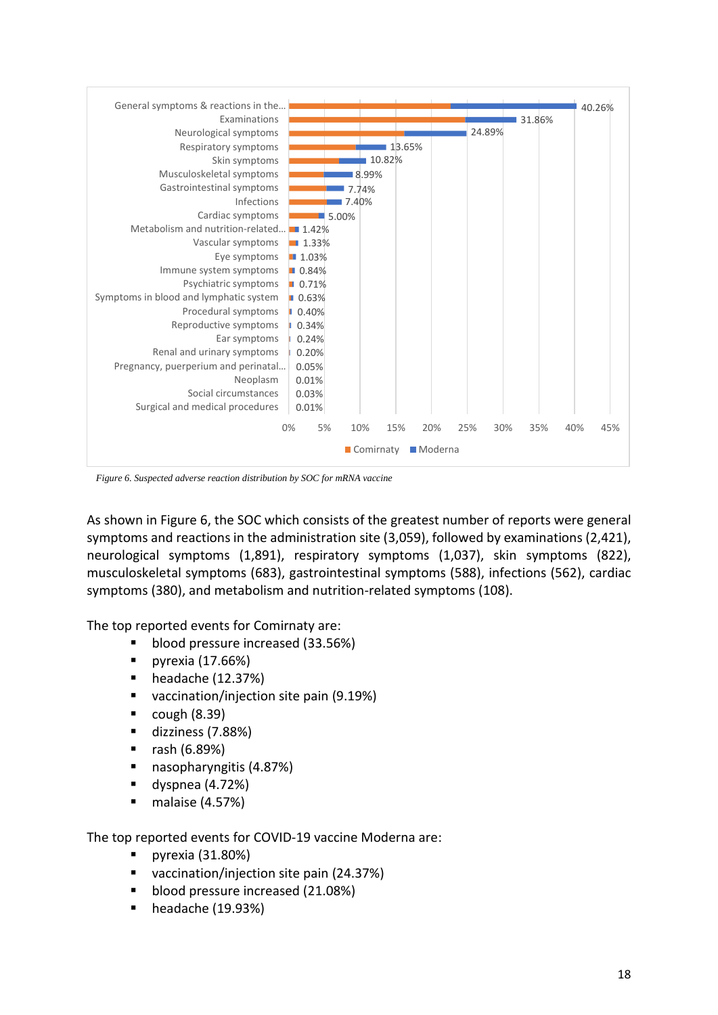

*Figure 6. Suspected adverse reaction distribution by SOC for mRNA vaccine*

As shown in Figure 6, the SOC which consists of the greatest number of reports were general symptoms and reactions in the administration site (3,059), followed by examinations (2,421), neurological symptoms (1,891), respiratory symptoms (1,037), skin symptoms (822), musculoskeletal symptoms (683), gastrointestinal symptoms (588), infections (562), cardiac symptoms (380), and metabolism and nutrition-related symptoms (108).

The top reported events for Comirnaty are:

- blood pressure increased (33.56%)
- pyrexia (17.66%)
- headache (12.37%)
- vaccination/injection site pain (9.19%)
- $\bullet$  cough (8.39)
- dizziness (7.88%)
- rash (6.89%)
- nasopharyngitis (4.87%)
- $\blacksquare$  dyspnea (4.72%)
- malaise (4.57%)

The top reported events for COVID-19 vaccine Moderna are:

- pyrexia (31.80%)
- vaccination/injection site pain (24.37%)
- blood pressure increased (21.08%)
- headache (19.93%)